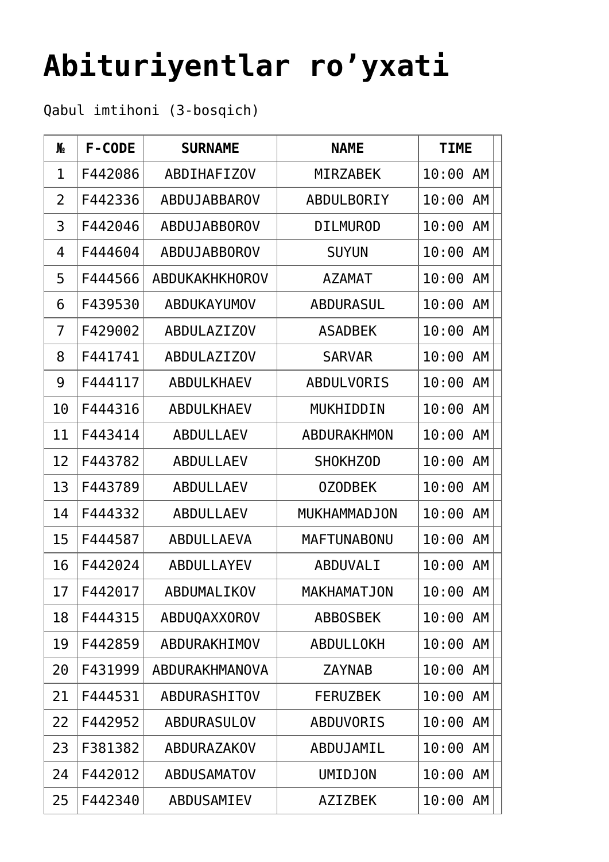## **[Abituriyentlar ro'yxati](https://polito.uz/uz/15916/)**

Qabul imtihoni (3-bosqich)

| N <sub>o</sub> | F-CODE  | <b>SURNAME</b>        | <b>NAME</b>        | <b>TIME</b> |
|----------------|---------|-----------------------|--------------------|-------------|
| 1              | F442086 | <b>ABDIHAFIZOV</b>    | <b>MIRZABEK</b>    | 10:00 AM    |
| 2              | F442336 | ABDUJABBAROV          | ABDULBORIY         | 10:00<br>AM |
| 3              | F442046 | ABDUJABBOROV          | <b>DILMUROD</b>    | 10:00<br>AM |
| 4              | F444604 | ABDUJABBOROV          | <b>SUYUN</b>       | AM<br>10:00 |
| 5              | F444566 | <b>ABDUKAKHKHOROV</b> | <b>AZAMAT</b>      | 10:00 AM    |
| 6              | F439530 | ABDUKAYUMOV           | <b>ABDURASUL</b>   | 10:00<br>AM |
| 7              | F429002 | <b>ABDULAZIZOV</b>    | <b>ASADBEK</b>     | 10:00<br>AM |
| 8              | F441741 | <b>ABDULAZIZOV</b>    | <b>SARVAR</b>      | 10:00 AM    |
| 9              | F444117 | <b>ABDULKHAEV</b>     | <b>ABDULVORIS</b>  | 10:00<br>AM |
| 10             | F444316 | <b>ABDULKHAEV</b>     | MUKHIDDIN          | 10:00<br>AM |
| 11             | F443414 | <b>ABDULLAEV</b>      | ABDURAKHMON        | 10:00<br>AM |
| 12             | F443782 | <b>ABDULLAEV</b>      | <b>SHOKHZOD</b>    | AM<br>10:00 |
| 13             | F443789 | <b>ABDULLAEV</b>      | <b>OZODBEK</b>     | 10:00<br>AM |
| 14             | F444332 | <b>ABDULLAEV</b>      | MUKHAMMADJON       | 10:00<br>AM |
| 15             | F444587 | ABDULLAEVA            | <b>MAFTUNABONU</b> | 10:00<br>AM |
| 16             | F442024 | ABDULLAYEV            | ABDUVALI           | 10:00 AM    |
| 17             | F442017 | ABDUMALIKOV           | MAKHAMATJON        | 10:00 AM    |
| 18             | F444315 | ABDUQAXXOROV          | <b>ABBOSBEK</b>    | 10:00 AM    |
| 19             | F442859 | ABDURAKHIMOV          | <b>ABDULLOKH</b>   | 10:00<br>AM |
| 20             | F431999 | ABDURAKHMANOVA        | <b>ZAYNAB</b>      | 10:00 AM    |
| 21             | F444531 | ABDURASHITOV          | <b>FERUZBEK</b>    | 10:00<br>AM |
| 22             | F442952 | <b>ABDURASULOV</b>    | <b>ABDUVORIS</b>   | 10:00<br>AM |
| 23             | F381382 | ABDURAZAKOV           | ABDUJAMIL          | 10:00<br>AM |
| 24             | F442012 | <b>ABDUSAMATOV</b>    | <b>UMIDJON</b>     | 10:00 AM    |
| 25             | F442340 | ABDUSAMIEV            | <b>AZIZBEK</b>     | 10:00 AM    |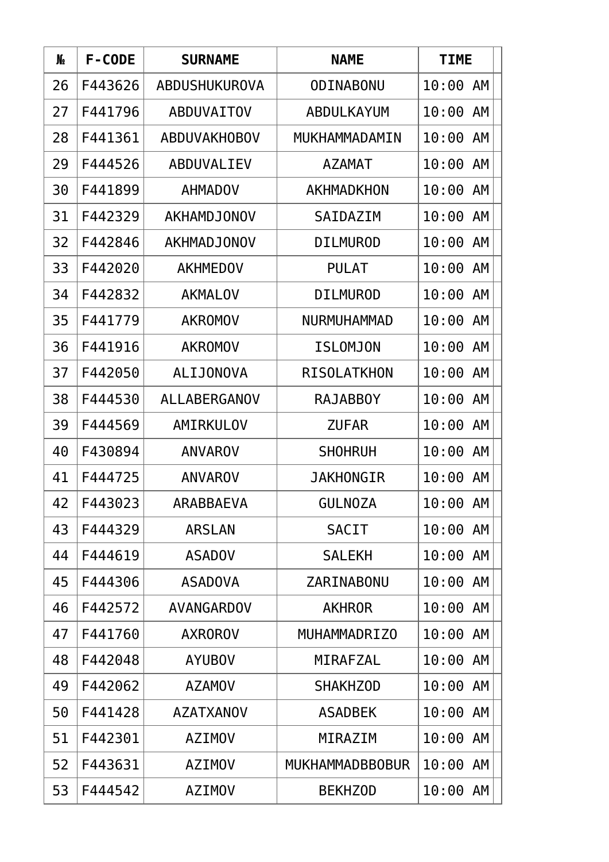| N <sub>o</sub> | F-CODE  | <b>SURNAME</b>      | <b>NAME</b>            | <b>TIME</b> |
|----------------|---------|---------------------|------------------------|-------------|
| 26             | F443626 | ABDUSHUKUROVA       | ODINABONU              | 10:00<br>AM |
| 27             | F441796 | <b>ABDUVAITOV</b>   | ABDULKAYUM             | 10:00 AM    |
| 28             | F441361 | <b>ABDUVAKHOBOV</b> | MUKHAMMADAMIN          | 10:00<br>AM |
| 29             | F444526 | ABDUVALIEV          | <b>AZAMAT</b>          | 10:00<br>AM |
| 30             | F441899 | <b>AHMADOV</b>      | AKHMADKHON             | 10:00<br>AM |
| 31             | F442329 | <b>AKHAMDJONOV</b>  | SAIDAZIM               | 10:00<br>AM |
| 32             | F442846 | <b>AKHMADJONOV</b>  | <b>DILMUROD</b>        | 10:00<br>AM |
| 33             | F442020 | <b>AKHMEDOV</b>     | <b>PULAT</b>           | 10:00<br>AM |
| 34             | F442832 | <b>AKMALOV</b>      | <b>DILMUROD</b>        | 10:00<br>AM |
| 35             | F441779 | <b>AKROMOV</b>      | NURMUHAMMAD            | 10:00<br>AM |
| 36             | F441916 | <b>AKROMOV</b>      | <b>ISLOMJON</b>        | 10:00<br>AM |
| 37             | F442050 | <b>ALIJONOVA</b>    | <b>RISOLATKHON</b>     | 10:00<br>AM |
| 38             | F444530 | ALLABERGANOV        | <b>RAJABBOY</b>        | 10:00<br>AM |
| 39             | F444569 | AMIRKULOV           | <b>ZUFAR</b>           | 10:00<br>AM |
| 40             | F430894 | <b>ANVAROV</b>      | <b>SHOHRUH</b>         | 10:00<br>AM |
| 41             | F444725 | <b>ANVAROV</b>      | <b>JAKHONGIR</b>       | AM<br>10:00 |
| 42             | F443023 | <b>ARABBAEVA</b>    | <b>GULNOZA</b>         | 10:00 AM    |
| 43             | F444329 | <b>ARSLAN</b>       | <b>SACIT</b>           | 10:00 AM    |
| 44             | F444619 | <b>ASADOV</b>       | <b>SALEKH</b>          | 10:00 AM    |
| 45             | F444306 | <b>ASADOVA</b>      | ZARINABONU             | 10:00<br>AM |
| 46             | F442572 | AVANGARDOV          | <b>AKHROR</b>          | 10:00<br>AM |
| 47             | F441760 | <b>AXROROV</b>      | MUHAMMADRIZ0           | 10:00 AM    |
| 48             | F442048 | <b>AYUBOV</b>       | MIRAFZAL               | 10:00 AM    |
| 49             | F442062 | <b>AZAMOV</b>       | <b>SHAKHZOD</b>        | 10:00<br>AM |
| 50             | F441428 | <b>AZATXANOV</b>    | <b>ASADBEK</b>         | 10:00<br>AM |
| 51             | F442301 | <b>AZIMOV</b>       | MIRAZIM                | 10:00 AM    |
| 52             | F443631 | <b>AZIMOV</b>       | <b>MUKHAMMADBBOBUR</b> | 10:00 AM    |
| 53             | F444542 | <b>AZIMOV</b>       | <b>BEKHZOD</b>         | 10:00<br>AM |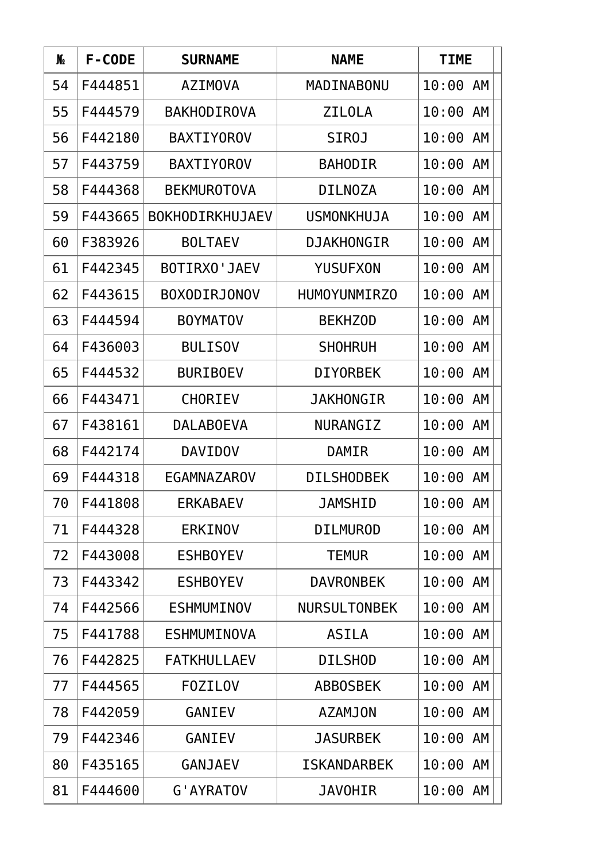| N <sub>o</sub> | F-CODE  | <b>SURNAME</b>         | <b>NAME</b>         | <b>TIME</b>        |
|----------------|---------|------------------------|---------------------|--------------------|
| 54             | F444851 | <b>AZIMOVA</b>         | MADINABONU          | 10:00<br>AM        |
| 55             | F444579 | <b>BAKHODIROVA</b>     | <b>ZILOLA</b>       | 10:00<br>AM        |
| 56             | F442180 | <b>BAXTIYOROV</b>      | <b>SIROJ</b>        | 10:00 AM           |
| 57             | F443759 | <b>BAXTIYOROV</b>      | <b>BAHODIR</b>      | 10:00<br>AM        |
| 58             | F444368 | <b>BEKMUROTOVA</b>     | <b>DILNOZA</b>      | 10:00<br>AM        |
| 59             | F443665 | <b>BOKHODIRKHUJAEV</b> | <b>USMONKHUJA</b>   | 10:00<br>AM        |
| 60             | F383926 | <b>BOLTAEV</b>         | <b>DJAKHONGIR</b>   | 10:00<br>AM        |
| 61             | F442345 | BOTIRXO'JAEV           | <b>YUSUFXON</b>     | 10:00<br><b>AM</b> |
| 62             | F443615 | <b>BOXODIRJONOV</b>    | HUMOYUNMIRZ0        | 10:00<br>AM        |
| 63             | F444594 | <b>BOYMATOV</b>        | <b>BEKHZOD</b>      | 10:00<br>AM        |
| 64             | F436003 | <b>BULISOV</b>         | <b>SHOHRUH</b>      | 10:00<br>AM        |
| 65             | F444532 | <b>BURIBOEV</b>        | <b>DIYORBEK</b>     | 10:00<br>AM        |
| 66             | F443471 | <b>CHORIEV</b>         | <b>JAKHONGIR</b>    | 10:00<br>AM        |
| 67             | F438161 | <b>DALABOEVA</b>       | NURANGIZ            | 10:00<br>AM        |
| 68             | F442174 | <b>DAVIDOV</b>         | <b>DAMIR</b>        | 10:00<br>AM        |
| 69             | F444318 | EGAMNAZAROV            | <b>DILSHODBEK</b>   | 10:00<br>AM        |
| 70             | F441808 | <b>ERKABAEV</b>        | <b>JAMSHID</b>      | 10:00 AM           |
| 71             | F444328 | <b>ERKINOV</b>         | <b>DILMUROD</b>     | 10:00<br>AM        |
| 72             | F443008 | <b>ESHBOYEV</b>        | <b>TEMUR</b>        | 10:00<br>AM        |
| 73             | F443342 | <b>ESHBOYEV</b>        | <b>DAVRONBEK</b>    | 10:00<br>AM        |
| 74             | F442566 | <b>ESHMUMINOV</b>      | <b>NURSULTONBEK</b> | 10:00<br>AM        |
| 75             | F441788 | <b>ESHMUMINOVA</b>     | <b>ASILA</b>        | 10:00<br>AM        |
| 76             | F442825 | <b>FATKHULLAEV</b>     | <b>DILSHOD</b>      | 10:00 AM           |
| 77             | F444565 | <b>FOZILOV</b>         | <b>ABBOSBEK</b>     | 10:00<br>AM        |
| 78             | F442059 | <b>GANIEV</b>          | <b>AZAMJON</b>      | 10:00<br>AM        |
| 79             | F442346 | <b>GANIEV</b>          | <b>JASURBEK</b>     | 10:00<br>AM        |
| 80             | F435165 | <b>GANJAEV</b>         | <b>ISKANDARBEK</b>  | 10:00<br>AM        |
| 81             | F444600 | G'AYRATOV              | <b>JAVOHIR</b>      | 10:00<br>AM        |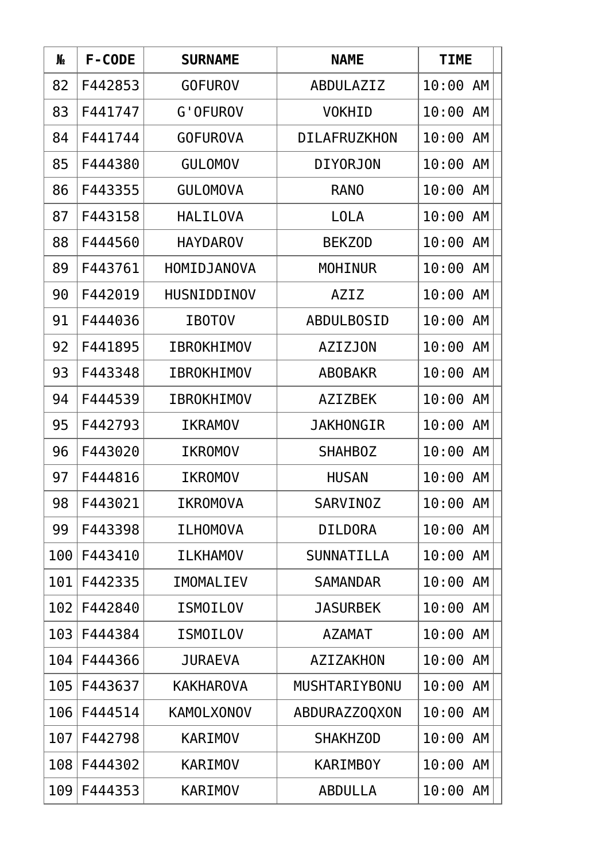| N <sub>o</sub> | F-CODE  | <b>SURNAME</b>    | <b>NAME</b>         | <b>TIME</b> |
|----------------|---------|-------------------|---------------------|-------------|
| 82             | F442853 | <b>GOFUROV</b>    | ABDULAZIZ           | 10:00<br>AM |
| 83             | F441747 | <b>G'OFUROV</b>   | <b>VOKHID</b>       | 10:00<br>AM |
| 84             | F441744 | <b>GOFUROVA</b>   | <b>DILAFRUZKHON</b> | 10:00 AM    |
| 85             | F444380 | <b>GULOMOV</b>    | <b>DIYORJON</b>     | 10:00<br>AM |
| 86             | F443355 | <b>GULOMOVA</b>   | <b>RANO</b>         | 10:00<br>AM |
| 87             | F443158 | <b>HALILOVA</b>   | <b>LOLA</b>         | 10:00<br>AM |
| 88             | F444560 | <b>HAYDAROV</b>   | <b>BEKZOD</b>       | 10:00<br>AM |
| 89             | F443761 | HOMIDJANOVA       | <b>MOHINUR</b>      | 10:00<br>AM |
| 90             | F442019 | HUSNIDDINOV       | AZIZ                | 10:00<br>AM |
| 91             | F444036 | <b>IBOTOV</b>     | <b>ABDULBOSID</b>   | 10:00<br>AM |
| 92             | F441895 | <b>IBROKHIMOV</b> | <b>AZIZJON</b>      | 10:00<br>AM |
| 93             | F443348 | <b>IBROKHIMOV</b> | <b>ABOBAKR</b>      | 10:00<br>AM |
| 94             | F444539 | <b>IBROKHIMOV</b> | <b>AZIZBEK</b>      | 10:00<br>AM |
| 95             | F442793 | <b>IKRAMOV</b>    | <b>JAKHONGIR</b>    | 10:00<br>AM |
| 96             | F443020 | <b>IKROMOV</b>    | <b>SHAHBOZ</b>      | 10:00<br>AM |
| 97             | F444816 | <b>IKROMOV</b>    | <b>HUSAN</b>        | 10:00<br>AM |
| 98             | F443021 | <b>IKROMOVA</b>   | <b>SARVINOZ</b>     | 10:00 AM    |
| 99             | F443398 | <b>ILHOMOVA</b>   | <b>DILDORA</b>      | 10:00<br>AM |
| 100            | F443410 | <b>ILKHAMOV</b>   | SUNNATILLA          | 10:00 AM    |
| 101            | F442335 | IMOMALIEV         | <b>SAMANDAR</b>     | 10:00<br>AM |
| 102            | F442840 | <b>ISMOILOV</b>   | <b>JASURBEK</b>     | 10:00<br>AM |
| 103            | F444384 | <b>ISMOILOV</b>   | <b>AZAMAT</b>       | 10:00<br>AM |
| 104            | F444366 | <b>JURAEVA</b>    | AZIZAKHON           | 10:00 AM    |
| 105            | F443637 | <b>KAKHAROVA</b>  | MUSHTARIYBONU       | 10:00<br>AM |
| 106            | F444514 | <b>KAMOLXONOV</b> | ABDURAZZ0QX0N       | 10:00<br>AM |
| 107            | F442798 | <b>KARIMOV</b>    | <b>SHAKHZOD</b>     | 10:00<br>AM |
| 108            | F444302 | <b>KARIMOV</b>    | <b>KARIMBOY</b>     | 10:00 AM    |
| 109            | F444353 | KARIMOV           | ABDULLA             | 10:00<br>AM |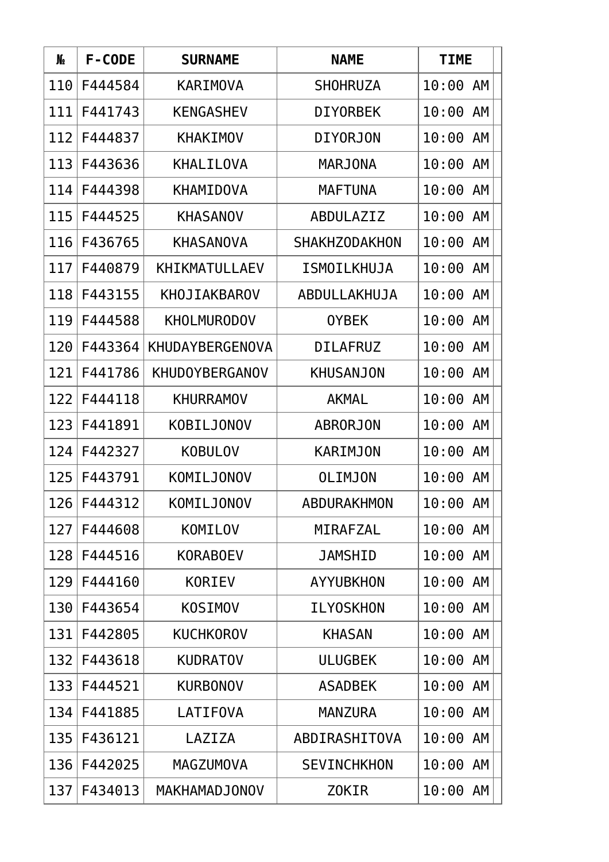| N∘  | F-CODE  | <b>SURNAME</b>        | <b>NAME</b>          | <b>TIME</b> |
|-----|---------|-----------------------|----------------------|-------------|
| 110 | F444584 | <b>KARIMOVA</b>       | <b>SHOHRUZA</b>      | 10:00<br>AM |
| 111 | F441743 | <b>KENGASHEV</b>      | <b>DIYORBEK</b>      | 10:00<br>AM |
| 112 | F444837 | <b>KHAKIMOV</b>       | <b>DIYORJON</b>      | 10:00 AM    |
| 113 | F443636 | <b>KHALILOVA</b>      | <b>MARJONA</b>       | 10:00<br>AM |
| 114 | F444398 | KHAMIDOVA             | <b>MAFTUNA</b>       | 10:00<br>AM |
| 115 | F444525 | <b>KHASANOV</b>       | ABDULAZIZ            | 10:00<br>AM |
| 116 | F436765 | <b>KHASANOVA</b>      | <b>SHAKHZODAKHON</b> | 10:00<br>AM |
| 117 | F440879 | <b>KHIKMATULLAEV</b>  | ISMOILKHUJA          | 10:00<br>AM |
| 118 | F443155 | KHOJIAKBAROV          | ABDULLAKHUJA         | AM<br>10:00 |
| 119 | F444588 | <b>KHOLMURODOV</b>    | <b>OYBEK</b>         | 10:00<br>AM |
| 120 | F443364 | KHUDAYBERGENOVA       | <b>DILAFRUZ</b>      | AM<br>10:00 |
| 121 | F441786 | <b>KHUDOYBERGANOV</b> | <b>KHUSANJON</b>     | 10:00<br>AM |
| 122 | F444118 | <b>KHURRAMOV</b>      | <b>AKMAL</b>         | 10:00<br>AM |
| 123 | F441891 | <b>KOBILJONOV</b>     | <b>ABRORJON</b>      | 10:00<br>AM |
| 124 | F442327 | <b>KOBULOV</b>        | <b>KARIMJON</b>      | 10:00<br>AM |
| 125 | F443791 | <b>KOMILJONOV</b>     | <b>OLIMJON</b>       | 10:00<br>AM |
| 126 | F444312 | KOMILJONOV            | ABDURAKHMON          | 10:00 AM    |
| 127 | F444608 | KOMILOV               | MIRAFZAL             | 10:00<br>AM |
| 128 | F444516 | <b>KORABOEV</b>       | <b>JAMSHID</b>       | 10:00<br>AM |
| 129 | F444160 | <b>KORIEV</b>         | <b>AYYUBKHON</b>     | 10:00<br>AM |
| 130 | F443654 | <b>KOSIMOV</b>        | <b>ILYOSKHON</b>     | 10:00<br>AM |
| 131 | F442805 | <b>KUCHKOROV</b>      | <b>KHASAN</b>        | 10:00<br>AM |
| 132 | F443618 | <b>KUDRATOV</b>       | <b>ULUGBEK</b>       | 10:00 AM    |
| 133 | F444521 | <b>KURBONOV</b>       | <b>ASADBEK</b>       | 10:00<br>AM |
| 134 | F441885 | <b>LATIFOVA</b>       | <b>MANZURA</b>       | 10:00<br>AM |
| 135 | F436121 | LAZIZA                | ABDIRASHITOVA        | 10:00<br>AM |
| 136 | F442025 | <b>MAGZUMOVA</b>      | <b>SEVINCHKHON</b>   | 10:00 AM    |
| 137 | F434013 | MAKHAMADJONOV         | Z0KIR                | 10:00<br>AM |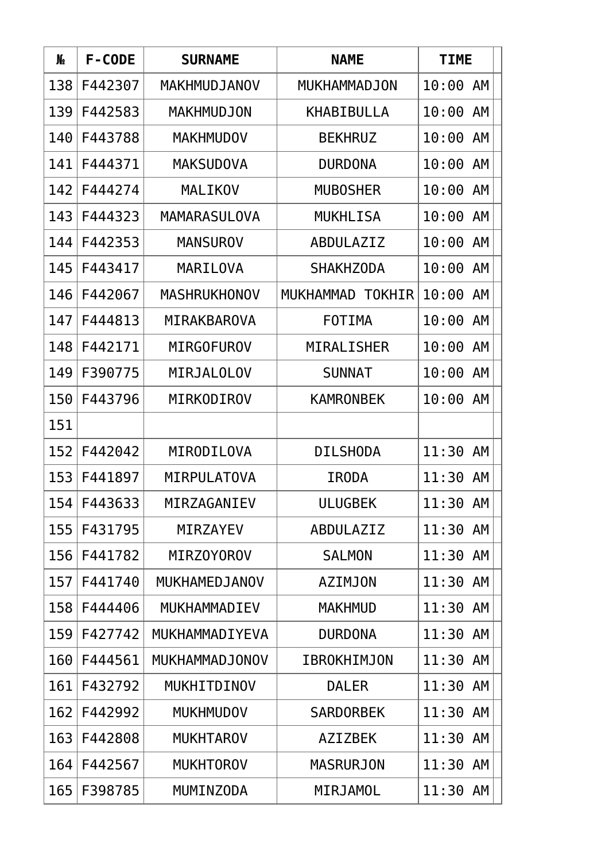| N <sub>o</sub> | F-CODE  | <b>SURNAME</b>      | <b>NAME</b>                | <b>TIME</b>        |
|----------------|---------|---------------------|----------------------------|--------------------|
| 138            | F442307 | MAKHMUDJANOV        | MUKHAMMADJON               | 10:00<br>AM        |
| 139            | F442583 | <b>MAKHMUDJON</b>   | <b>KHABIBULLA</b>          | 10:00<br>AM        |
| 140            | F443788 | <b>MAKHMUDOV</b>    | <b>BEKHRUZ</b>             | 10:00<br>AM        |
| 141            | F444371 | <b>MAKSUDOVA</b>    | <b>DURDONA</b>             | 10:00<br>AM        |
| 142            | F444274 | MALIKOV             | <b>MUBOSHER</b>            | 10:00<br>AM        |
| 143            | F444323 | <b>MAMARASULOVA</b> | <b>MUKHLISA</b>            | 10:00<br>AM        |
| 144            | F442353 | <b>MANSUROV</b>     | ABDULAZIZ                  | 10:00<br>AM        |
| 145            | F443417 | MARILOVA            | <b>SHAKHZODA</b>           | 10:00<br>AM        |
| 146            | F442067 | <b>MASHRUKHONOV</b> | TOKHIR<br><b>MUKHAMMAD</b> | 10:00<br>AM        |
| 147            | F444813 | MIRAKBAROVA         | FOTIMA                     | 10:00<br>AM        |
| 148            | F442171 | <b>MIRGOFUROV</b>   | MIRALISHER                 | <b>AM</b><br>10:00 |
| 149            | F390775 | MIRJALOLOV          | <b>SUNNAT</b>              | 10:00<br><b>AM</b> |
| 150            | F443796 | MIRKODIROV          | <b>KAMRONBEK</b>           | 10:00<br>AM        |
| 151            |         |                     |                            |                    |
| 152            | F442042 | MIRODILOVA          | <b>DILSHODA</b>            | 11:30<br>AM        |
| 153            | F441897 | MIRPULATOVA         | <b>IRODA</b>               | 11:30<br>AM        |
| 154            | F443633 | MIRZAGANIEV         | <b>ULUGBEK</b>             | 11:30 AM           |
| 155            | F431795 | <b>MIRZAYEV</b>     | ABDULAZIZ                  | 11:30 AM           |
| 156            | F441782 | MIRZ0Y0R0V          | <b>SALMON</b>              | 11:30 AM           |
| 157            | F441740 | MUKHAMEDJANOV       | <b>AZIMJON</b>             | 11:30 AM           |
| 158            | F444406 | MUKHAMMADIEV        | <b>MAKHMUD</b>             | 11:30<br>AM        |
| 159            | F427742 | MUKHAMMADIYEVA      | <b>DURDONA</b>             | 11:30 AM           |
| 160            | F444561 | MUKHAMMADJONOV      | <b>IBROKHIMJON</b>         | 11:30 AM           |
| 161            | F432792 | MUKHITDINOV         | <b>DALER</b>               | 11:30 AM           |
| 162            | F442992 | <b>MUKHMUDOV</b>    | <b>SARDORBEK</b>           | 11:30<br>AM        |
| 163            | F442808 | <b>MUKHTAROV</b>    | <b>AZIZBEK</b>             | 11:30 AM           |
| 164            | F442567 | <b>MUKHTOROV</b>    | <b>MASRURJON</b>           | 11:30 AM           |
| 165            | F398785 | MUMINZODA           | MIRJAMOL                   | 11:30 AM           |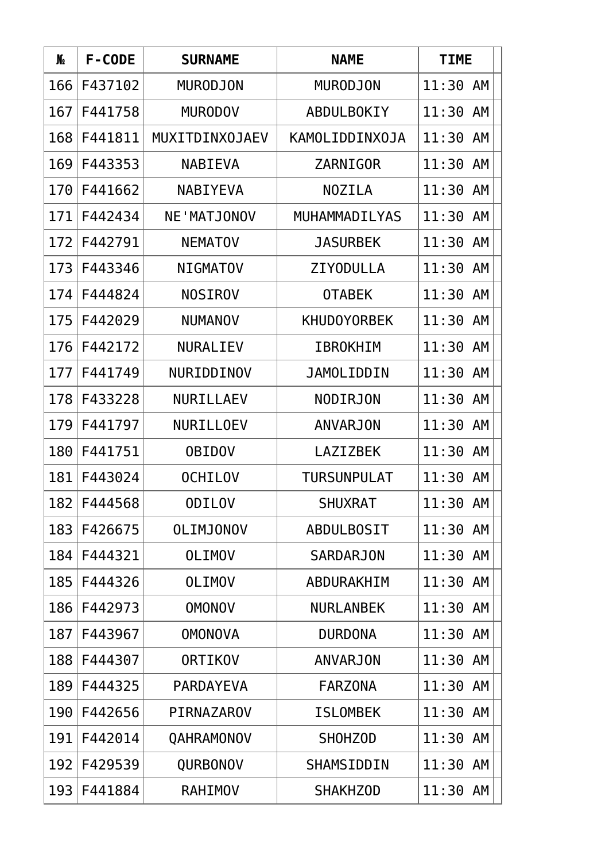| N <sub>o</sub> | F-CODE  | <b>SURNAME</b>     | <b>NAME</b>        | <b>TIME</b> |
|----------------|---------|--------------------|--------------------|-------------|
| 166            | F437102 | <b>MURODJON</b>    | <b>MURODJON</b>    | 11:30<br>AM |
| 167            | F441758 | <b>MURODOV</b>     | ABDULBOKIY         | 11:30<br>AM |
| 168            | F441811 | MUXITDINXOJAEV     | KAMOLIDDINXOJA     | AM<br>11:30 |
| 169            | F443353 | <b>NABIEVA</b>     | ZARNIGOR           | 11:30<br>AM |
| 170            | F441662 | <b>NABIYEVA</b>    | <b>NOZILA</b>      | 11:30<br>AM |
| 171            | F442434 | <b>NE'MATJONOV</b> | MUHAMMADILYAS      | 11:30<br>AM |
| 172            | F442791 | <b>NEMATOV</b>     | <b>JASURBEK</b>    | 11:30<br>AM |
| 173            | F443346 | <b>NIGMATOV</b>    | <b>ZIYODULLA</b>   | 11:30<br>AM |
| 174            | F444824 | <b>NOSIROV</b>     | <b>OTABEK</b>      | 11:30<br>AM |
| 175            | F442029 | <b>NUMANOV</b>     | <b>KHUDOYORBEK</b> | AM<br>11:30 |
| 176            | F442172 | NURALIEV           | <b>IBROKHIM</b>    | 11:30<br>AM |
| 177            | F441749 | NURIDDINOV         | <b>JAMOLIDDIN</b>  | 11:30<br>AM |
| 178            | F433228 | <b>NURILLAEV</b>   | <b>NODIRJON</b>    | 11:30<br>AM |
| 179            | F441797 | NURILLOEV          | <b>ANVARJON</b>    | 11:30<br>AM |
| 180            | F441751 | <b>OBIDOV</b>      | <b>LAZIZBEK</b>    | 11:30<br>AM |
| 181            | F443024 | <b>OCHILOV</b>     | <b>TURSUNPULAT</b> | 11:30<br>AM |
| 182            | F444568 | <b>ODILOV</b>      | <b>SHUXRAT</b>     | 11:30 AM    |
| 183            | F426675 | <b>OLIMJONOV</b>   | <b>ABDULBOSIT</b>  | 11:30<br>AM |
| 184            | F444321 | <b>OLIMOV</b>      | <b>SARDARJON</b>   | 11:30 AM    |
| 185            | F444326 | <b>OLIMOV</b>      | ABDURAKHIM         | 11:30<br>AM |
| 186            | F442973 | <b>OMONOV</b>      | <b>NURLANBEK</b>   | 11:30<br>AM |
| 187            | F443967 | <b>OMONOVA</b>     | <b>DURDONA</b>     | 11:30<br>AM |
| 188            | F444307 | <b>ORTIKOV</b>     | <b>ANVARJON</b>    | 11:30 AM    |
| 189            | F444325 | PARDAYEVA          | <b>FARZONA</b>     | 11:30<br>AM |
| 190            | F442656 | PIRNAZAROV         | <b>ISLOMBEK</b>    | 11:30<br>AM |
| 191            | F442014 | QAHRAMONOV         | <b>SHOHZOD</b>     | 11:30<br>AM |
| 192            | F429539 | QURBONOV           | SHAMSIDDIN         | 11:30<br>AM |
| 193            | F441884 | RAHIMOV            | <b>SHAKHZOD</b>    | 11:30<br>AM |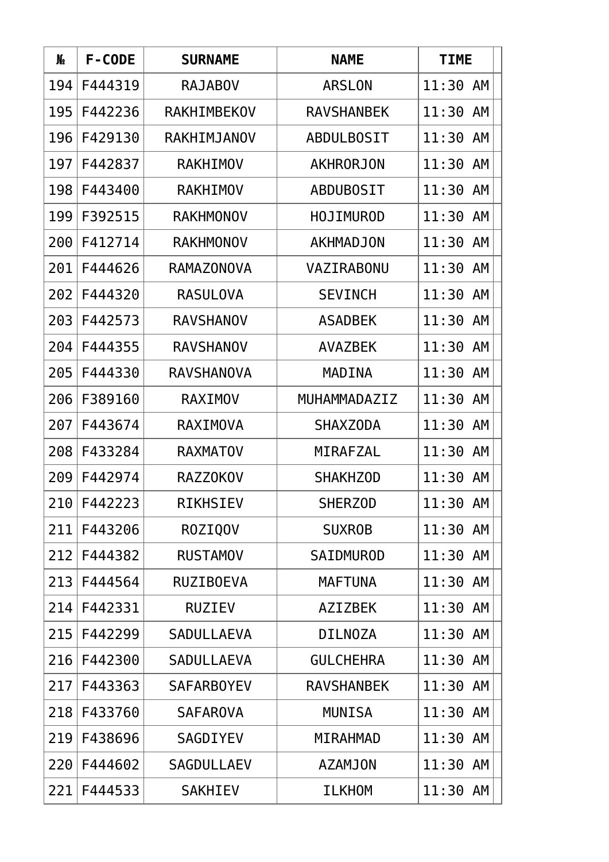| N <sub>o</sub> | F-CODE  | <b>SURNAME</b>    | <b>NAME</b>       | <b>TIME</b> |
|----------------|---------|-------------------|-------------------|-------------|
| 194            | F444319 | <b>RAJABOV</b>    | <b>ARSLON</b>     | 11:30 AM    |
| 195            | F442236 | RAKHIMBEKOV       | <b>RAVSHANBEK</b> | AM<br>11:30 |
| 196            | F429130 | RAKHIMJANOV       | <b>ABDULBOSIT</b> | 11:30 AM    |
| 197            | F442837 | <b>RAKHIMOV</b>   | AKHRORJON         | AM<br>11:30 |
| 198            | F443400 | <b>RAKHIMOV</b>   | <b>ABDUBOSIT</b>  | AM<br>11:30 |
| 199            | F392515 | <b>RAKHMONOV</b>  | <b>HOJIMUROD</b>  | AM<br>11:30 |
| 200            | F412714 | <b>RAKHMONOV</b>  | AKHMADJON         | 11:30<br>AM |
| 201            | F444626 | <b>RAMAZONOVA</b> | VAZIRABONU        | 11:30<br>AM |
| 202            | F444320 | <b>RASULOVA</b>   | <b>SEVINCH</b>    | AM<br>11:30 |
| 203            | F442573 | <b>RAVSHANOV</b>  | <b>ASADBEK</b>    | 11:30<br>AM |
| 204            | F444355 | <b>RAVSHANOV</b>  | <b>AVAZBEK</b>    | 11:30 AM    |
| 205            | F444330 | <b>RAVSHANOVA</b> | MADINA            | AM<br>11:30 |
| 206            | F389160 | <b>RAXIMOV</b>    | MUHAMMADAZIZ      | AM<br>11:30 |
| 207            | F443674 | <b>RAXIMOVA</b>   | <b>SHAXZODA</b>   | 11:30<br>AM |
| 208            | F433284 | <b>RAXMATOV</b>   | MIRAFZAL          | 11:30<br>AM |
| 209            | F442974 | RAZZ0K0V          | <b>SHAKHZOD</b>   | AM<br>11:30 |
| 210            | F442223 | RIKHSIEV          | <b>SHERZOD</b>    | 11:30 AM    |
| 211            | F443206 | ROZIQOV           | <b>SUXROB</b>     | 11:30 AM    |
| 212            | F444382 | <b>RUSTAMOV</b>   | <b>SAIDMUROD</b>  | 11:30 AM    |
| 213            | F444564 | <b>RUZIBOEVA</b>  | <b>MAFTUNA</b>    | 11:30<br>AM |
| 214            | F442331 | <b>RUZIEV</b>     | <b>AZIZBEK</b>    | 11:30<br>AM |
| 215            | F442299 | <b>SADULLAEVA</b> | <b>DILNOZA</b>    | 11:30 AM    |
| 216            | F442300 | <b>SADULLAEVA</b> | <b>GULCHEHRA</b>  | 11:30 AM    |
| 217            | F443363 | <b>SAFARBOYEV</b> | <b>RAVSHANBEK</b> | 11:30 AM    |
| 218            | F433760 | <b>SAFAROVA</b>   | <b>MUNISA</b>     | AM<br>11:30 |
| 219            | F438696 | <b>SAGDIYEV</b>   | <b>MIRAHMAD</b>   | 11:30<br>AM |
| 220            | F444602 | <b>SAGDULLAEV</b> | <b>AZAMJON</b>    | 11:30 AM    |
| 221            | F444533 | <b>SAKHIEV</b>    | <b>ILKHOM</b>     | 11:30 AM    |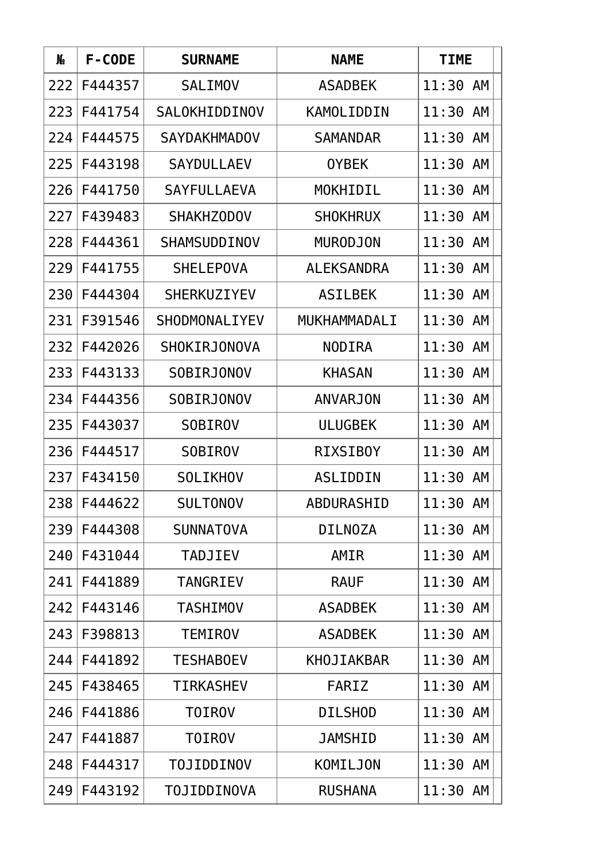| N∘  | F-CODE  | <b>SURNAME</b>      | <b>NAME</b>       | <b>TIME</b> |
|-----|---------|---------------------|-------------------|-------------|
| 222 | F444357 | <b>SALIMOV</b>      | <b>ASADBEK</b>    | 11:30<br>AM |
| 223 | F441754 | SALOKHIDDINOV       | <b>KAMOLIDDIN</b> | 11:30<br>AM |
| 224 | F444575 | <b>SAYDAKHMADOV</b> | <b>SAMANDAR</b>   | AM<br>11:30 |
| 225 | F443198 | <b>SAYDULLAEV</b>   | <b>OYBEK</b>      | 11:30<br>AM |
| 226 | F441750 | <b>SAYFULLAEVA</b>  | MOKHIDIL          | 11:30<br>AM |
| 227 | F439483 | <b>SHAKHZODOV</b>   | <b>SHOKHRUX</b>   | 11:30<br>AM |
| 228 | F444361 | SHAMSUDDINOV        | <b>MURODJON</b>   | 11:30<br>AM |
| 229 | F441755 | <b>SHELEPOVA</b>    | <b>ALEKSANDRA</b> | 11:30<br>AM |
| 230 | F444304 | <b>SHERKUZIYEV</b>  | <b>ASILBEK</b>    | 11:30<br>AM |
| 231 | F391546 | SHODMONALIYEV       | MUKHAMMADALI      | 11:30<br>AM |
| 232 | F442026 | SHOKIRJONOVA        | <b>NODIRA</b>     | 11:30<br>AM |
| 233 | F443133 | SOBIRJONOV          | <b>KHASAN</b>     | 11:30<br>AM |
| 234 | F444356 | SOBIRJONOV          | <b>ANVARJON</b>   | 11:30<br>AM |
| 235 | F443037 | <b>SOBIROV</b>      | <b>ULUGBEK</b>    | 11:30<br>AM |
| 236 | F444517 | <b>SOBIROV</b>      | <b>RIXSIBOY</b>   | 11:30<br>AM |
| 237 | F434150 | <b>SOLIKHOV</b>     | <b>ASLIDDIN</b>   | 11:30<br>AM |
| 238 | F444622 | <b>SULTONOV</b>     | <b>ABDURASHID</b> | 11:30 AM    |
| 239 | F444308 | <b>SUNNATOVA</b>    | <b>DILNOZA</b>    | 11:30<br>AM |
| 240 | F431044 | <b>TADJIEV</b>      | AMIR              | 11:30 AM    |
| 241 | F441889 | <b>TANGRIEV</b>     | <b>RAUF</b>       | 11:30<br>AM |
| 242 | F443146 | <b>TASHIMOV</b>     | <b>ASADBEK</b>    | 11:30<br>AM |
| 243 | F398813 | <b>TEMIROV</b>      | <b>ASADBEK</b>    | 11:30 AM    |
| 244 | F441892 | <b>TESHABOEV</b>    | KHOJIAKBAR        | 11:30 AM    |
| 245 | F438465 | <b>TIRKASHEV</b>    | FARIZ             | 11:30<br>AM |
| 246 | F441886 | <b>TOIROV</b>       | <b>DILSHOD</b>    | 11:30<br>AM |
| 247 | F441887 | <b>TOIROV</b>       | <b>JAMSHID</b>    | 11:30<br>AM |
| 248 | F444317 | <b>TOJIDDINOV</b>   | KOMILJON          | 11:30 AM    |
| 249 | F443192 | <b>TOJIDDINOVA</b>  | <b>RUSHANA</b>    | 11:30 AM    |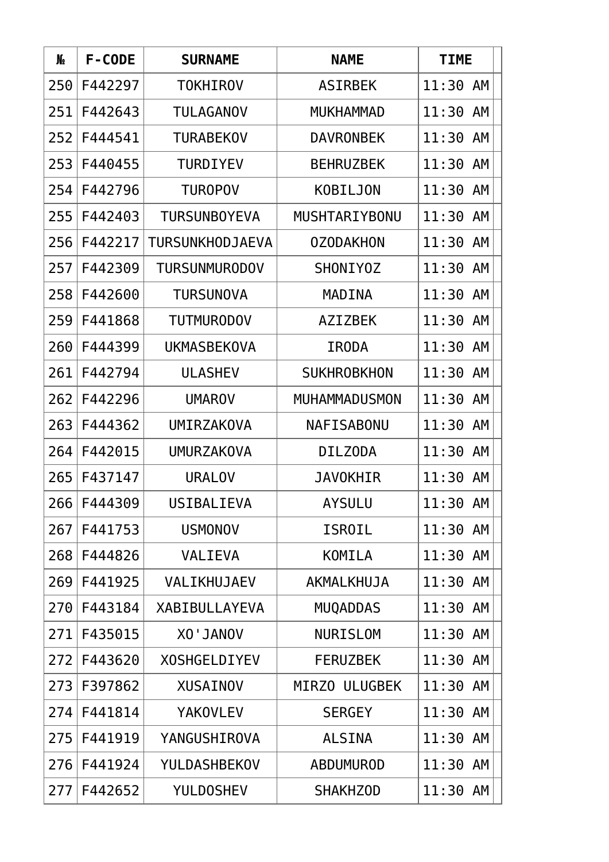| N∘  | F-CODE  | <b>SURNAME</b>         | <b>NAME</b>          | <b>TIME</b> |
|-----|---------|------------------------|----------------------|-------------|
| 250 | F442297 | <b>TOKHIROV</b>        | <b>ASIRBEK</b>       | 11:30<br>AM |
| 251 | F442643 | <b>TULAGANOV</b>       | <b>MUKHAMMAD</b>     | 11:30<br>AM |
| 252 | F444541 | <b>TURABEKOV</b>       | <b>DAVRONBEK</b>     | 11:30 AM    |
| 253 | F440455 | <b>TURDIYEV</b>        | <b>BEHRUZBEK</b>     | AM<br>11:30 |
| 254 | F442796 | <b>TUROPOV</b>         | KOBILJON             | AM<br>11:30 |
| 255 | F442403 | <b>TURSUNBOYEVA</b>    | <b>MUSHTARIYBONU</b> | 11:30<br>AM |
| 256 | F442217 | <b>TURSUNKHODJAEVA</b> | <b>OZODAKHON</b>     | 11:30<br>AM |
| 257 | F442309 | <b>TURSUNMURODOV</b>   | SHONIYOZ             | 11:30<br>AM |
| 258 | F442600 | <b>TURSUNOVA</b>       | MADINA               | AM<br>11:30 |
| 259 | F441868 | <b>TUTMURODOV</b>      | <b>AZIZBEK</b>       | 11:30<br>AM |
| 260 | F444399 | <b>UKMASBEKOVA</b>     | <b>IRODA</b>         | AM<br>11:30 |
| 261 | F442794 | <b>ULASHEV</b>         | <b>SUKHROBKHON</b>   | 11:30<br>AM |
| 262 | F442296 | <b>UMAROV</b>          | <b>MUHAMMADUSMON</b> | AM<br>11:30 |
| 263 | F444362 | <b>UMIRZAKOVA</b>      | <b>NAFISABONU</b>    | 11:30<br>AM |
| 264 | F442015 | <b>UMURZAKOVA</b>      | <b>DILZODA</b>       | 11:30<br>AM |
| 265 | F437147 | <b>URALOV</b>          | <b>JAVOKHIR</b>      | 11:30<br>AM |
| 266 | F444309 | USIBALIEVA             | AYSULU               | 11:30 AM    |
| 267 | F441753 | <b>USMONOV</b>         | ISROIL               | 11:30 AM    |
| 268 | F444826 | <b>VALIEVA</b>         | <b>KOMILA</b>        | 11:30 AM    |
| 269 | F441925 | VALIKHUJAEV            | AKMALKHUJA           | 11:30<br>AM |
| 270 | F443184 | <b>XABIBULLAYEVA</b>   | <b>MUQADDAS</b>      | 11:30<br>AM |
| 271 | F435015 | <b>VOIAL'OX</b>        | <b>NURISLOM</b>      | 11:30<br>AM |
| 272 | F443620 | <b>XOSHGELDIYEV</b>    | <b>FERUZBEK</b>      | 11:30 AM    |
| 273 | F397862 | <b>XUSAINOV</b>        | MIRZO ULUGBEK        | 11:30 AM    |
| 274 | F441814 | <b>YAKOVLEV</b>        | <b>SERGEY</b>        | AM<br>11:30 |
| 275 | F441919 | YANGUSHIROVA           | <b>ALSINA</b>        | 11:30<br>AM |
| 276 | F441924 | YULDASHBEKOV           | <b>ABDUMUROD</b>     | 11:30 AM    |
| 277 | F442652 | <b>YULDOSHEV</b>       | <b>SHAKHZOD</b>      | 11:30 AM    |